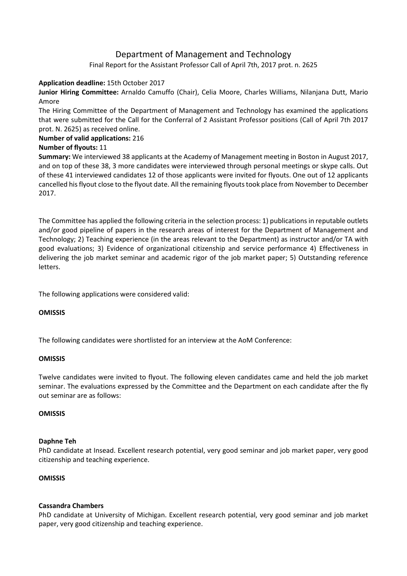# Department of Management and Technology

Final Report for the Assistant Professor Call of April 7th, 2017 prot. n. 2625

## **Application deadline:** 15th October 2017

**Junior Hiring Committee:** Arnaldo Camuffo (Chair), Celia Moore, Charles Williams, Nilanjana Dutt, Mario Amore

The Hiring Committee of the Department of Management and Technology has examined the applications that were submitted for the Call for the Conferral of 2 Assistant Professor positions (Call of April 7th 2017 prot. N. 2625) as received online.

## **Number of valid applications:** 216

## **Number of flyouts:** 11

**Summary:** We interviewed 38 applicants at the Academy of Management meeting in Boston in August 2017, and on top of these 38, 3 more candidates were interviewed through personal meetings or skype calls. Out of these 41 interviewed candidates 12 of those applicants were invited for flyouts. One out of 12 applicants cancelled hisflyout close to the flyout date. All the remaining flyouts took place from November to December 2017.

The Committee has applied the following criteria in the selection process: 1) publications in reputable outlets and/or good pipeline of papers in the research areas of interest for the Department of Management and Technology; 2) Teaching experience (in the areas relevant to the Department) as instructor and/or TA with good evaluations; 3) Evidence of organizational citizenship and service performance 4) Effectiveness in delivering the job market seminar and academic rigor of the job market paper; 5) Outstanding reference letters.

The following applications were considered valid:

#### **OMISSIS**

The following candidates were shortlisted for an interview at the AoM Conference:

#### **OMISSIS**

Twelve candidates were invited to flyout. The following eleven candidates came and held the job market seminar. The evaluations expressed by the Committee and the Department on each candidate after the fly out seminar are as follows:

#### **OMISSIS**

#### **Daphne Teh**

PhD candidate at Insead. Excellent research potential, very good seminar and job market paper, very good citizenship and teaching experience.

#### **OMISSIS**

#### **Cassandra Chambers**

PhD candidate at University of Michigan. Excellent research potential, very good seminar and job market paper, very good citizenship and teaching experience.